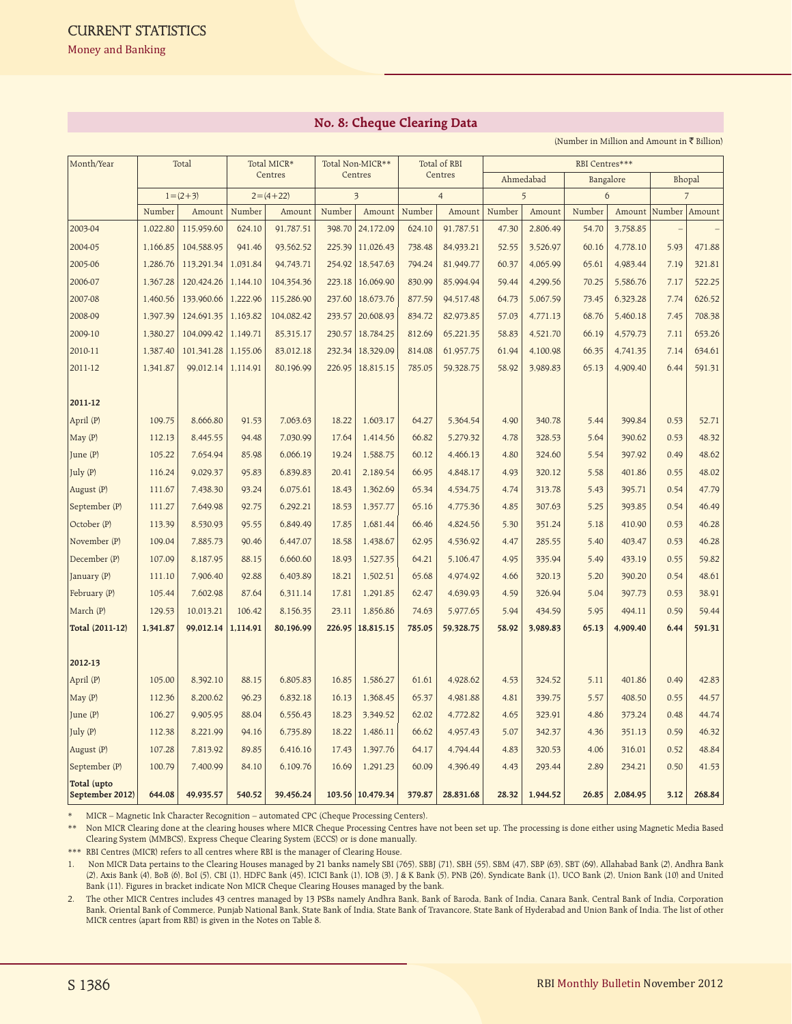## **No. 8: Cheque Clearing Data**

(Number in Million and Amount in  $\bar{\tau}$  Billion)

| Month/Year                     | Total    |               | Total MICR* |            | Total Non-MICR** |                         | Total of RBI |                | RBI Centres*** |          |           |          |        |                |  |
|--------------------------------|----------|---------------|-------------|------------|------------------|-------------------------|--------------|----------------|----------------|----------|-----------|----------|--------|----------------|--|
|                                |          |               | Centres     |            | Centres          |                         | Centres      |                | Ahmedabad      |          | Bangalore |          | Bhopal |                |  |
|                                |          | $1 = (2 + 3)$ |             | $2=(4+22)$ |                  | $\overline{\mathbf{3}}$ |              | $\overline{4}$ |                | 5        |           | 6        |        | $\overline{7}$ |  |
|                                | Number   | Amount        | Number      | Amount     | Number           | Amount                  | Number       | Amount         | Number         | Amount   | Number    | Amount   | Number | Amount         |  |
| 2003-04                        | 1,022.80 | 115,959.60    | 624.10      | 91,787.51  | 398.70           | 24,172.09               | 624.10       | 91,787.51      | 47.30          | 2,806.49 | 54.70     | 3,758.85 |        |                |  |
| 2004-05                        | 1,166.85 | 104,588.95    | 941.46      | 93,562.52  | 225.39           | 11,026.43               | 738.48       | 84,933.21      | 52.55          | 3,526.97 | 60.16     | 4,778.10 | 5.93   | 471.88         |  |
| 2005-06                        | 1,286.76 | 113,291.34    | 1,031.84    | 94,743.71  | 254.92           | 18,547.63               | 794.24       | 81,949.77      | 60.37          | 4,065.99 | 65.61     | 4,983.44 | 7.19   | 321.81         |  |
| 2006-07                        | 1,367.28 | 120,424.26    | 1,144.10    | 104,354.36 | 223.18           | 16,069.90               | 830.99       | 85,994.94      | 59.44          | 4,299.56 | 70.25     | 5,586.76 | 7.17   | 522.25         |  |
| 2007-08                        | 1,460.56 | 133,960.66    | 1,222.96    | 115,286.90 | 237.60           | 18,673.76               | 877.59       | 94,517.48      | 64.73          | 5,067.59 | 73.45     | 6,323.28 | 7.74   | 626.52         |  |
| 2008-09                        | 1,397.39 | 124,691.35    | 1,163.82    | 104,082.42 | 233.57           | 20,608.93               | 834.72       | 82,973.85      | 57.03          | 4,771.13 | 68.76     | 5,460.18 | 7.45   | 708.38         |  |
| 2009-10                        | 1,380.27 | 104,099.42    | 1,149.71    | 85,315.17  | 230.57           | 18,784.25               | 812.69       | 65,221.35      | 58.83          | 4,521.70 | 66.19     | 4,579.73 | 7.11   | 653.26         |  |
| 2010-11                        | 1,387.40 | 101,341.28    | 1,155.06    | 83,012.18  | 232.34           | 18,329.09               | 814.08       | 61,957.75      | 61.94          | 4,100.98 | 66.35     | 4,741.35 | 7.14   | 634.61         |  |
| 2011-12                        | 1,341.87 | 99,012.14     | 1,114.91    | 80,196.99  | 226.95           | 18,815.15               | 785.05       | 59,328.75      | 58.92          | 3,989.83 | 65.13     | 4,909.40 | 6.44   | 591.31         |  |
|                                |          |               |             |            |                  |                         |              |                |                |          |           |          |        |                |  |
| 2011-12                        |          |               |             |            |                  |                         |              |                |                |          |           |          |        |                |  |
| April (P)                      | 109.75   | 8,666.80      | 91.53       | 7,063.63   | 18.22            | 1,603.17                | 64.27        | 5,364.54       | 4.90           | 340.78   | 5.44      | 399.84   | 0.53   | 52.71          |  |
| May(P)                         | 112.13   | 8,445.55      | 94.48       | 7,030.99   | 17.64            | 1,414.56                | 66.82        | 5,279.32       | 4.78           | 328.53   | 5.64      | 390.62   | 0.53   | 48.32          |  |
| June $(P)$                     | 105.22   | 7,654.94      | 85.98       | 6,066.19   | 19.24            | 1,588.75                | 60.12        | 4,466.13       | 4.80           | 324.60   | 5.54      | 397.92   | 0.49   | 48.62          |  |
| July (P)                       | 116.24   | 9,029.37      | 95.83       | 6,839.83   | 20.41            | 2,189.54                | 66.95        | 4,848.17       | 4.93           | 320.12   | 5.58      | 401.86   | 0.55   | 48.02          |  |
| August (P)                     | 111.67   | 7,438.30      | 93.24       | 6,075.61   | 18.43            | 1,362.69                | 65.34        | 4,534.75       | 4.74           | 313.78   | 5.43      | 395.71   | 0.54   | 47.79          |  |
| September (P)                  | 111.27   | 7,649.98      | 92.75       | 6,292.21   | 18.53            | 1,357.77                | 65.16        | 4,775.36       | 4.85           | 307.63   | 5.25      | 393.85   | 0.54   | 46.49          |  |
| October (P)                    | 113.39   | 8,530.93      | 95.55       | 6,849.49   | 17.85            | 1,681.44                | 66.46        | 4,824.56       | 5.30           | 351.24   | 5.18      | 410.90   | 0.53   | 46.28          |  |
| November (P)                   | 109.04   | 7,885.73      | 90.46       | 6,447.07   | 18.58            | 1,438.67                | 62.95        | 4,536.92       | 4.47           | 285.55   | 5.40      | 403.47   | 0.53   | 46.28          |  |
| December (P)                   | 107.09   | 8,187.95      | 88.15       | 6,660.60   | 18.93            | 1,527.35                | 64.21        | 5,106.47       | 4.95           | 335.94   | 5.49      | 433.19   | 0.55   | 59.82          |  |
| January (P)                    | 111.10   | 7,906.40      | 92.88       | 6,403.89   | 18.21            | 1,502.51                | 65.68        | 4,974.92       | 4.66           | 320.13   | 5.20      | 390.20   | 0.54   | 48.61          |  |
| February (P)                   | 105.44   | 7,602.98      | 87.64       | 6,311.14   | 17.81            | 1,291.85                | 62.47        | 4,639.93       | 4.59           | 326.94   | 5.04      | 397.73   | 0.53   | 38.91          |  |
| March (P)                      | 129.53   | 10,013.21     | 106.42      | 8,156.35   | 23.11            | 1,856.86                | 74.63        | 5,977.65       | 5.94           | 434.59   | 5.95      | 494.11   | 0.59   | 59.44          |  |
| Total (2011-12)                | 1,341.87 | 99,012.14     | 1,114.91    | 80,196.99  | 226.95           | 18,815.15               | 785.05       | 59,328.75      | 58.92          | 3,989.83 | 65.13     | 4,909.40 | 6.44   | 591.31         |  |
|                                |          |               |             |            |                  |                         |              |                |                |          |           |          |        |                |  |
| 2012-13                        |          |               |             |            |                  |                         |              |                |                |          |           |          |        |                |  |
| April (P)                      | 105.00   | 8,392.10      | 88.15       | 6,805.83   | 16.85            | 1,586.27                | 61.61        | 4,928.62       | 4.53           | 324.52   | 5.11      | 401.86   | 0.49   | 42.83          |  |
| May(P)                         | 112.36   | 8,200.62      | 96.23       | 6,832.18   | 16.13            | 1,368.45                | 65.37        | 4,981.88       | 4.81           | 339.75   | 5.57      | 408.50   | 0.55   | 44.57          |  |
| June (P)                       | 106.27   | 9,905.95      | 88.04       | 6,556.43   | 18.23            | 3,349.52                | 62.02        | 4,772.82       | 4.65           | 323.91   | 4.86      | 373.24   | 0.48   | 44.74          |  |
| July $(P)$                     | 112.38   | 8,221.99      | 94.16       | 6,735.89   | 18.22            | 1,486.11                | 66.62        | 4,957.43       | 5.07           | 342.37   | 4.36      | 351.13   | 0.59   | 46.32          |  |
| August (P)                     | 107.28   | 7,813.92      | 89.85       | 6,416.16   | 17.43            | 1,397.76                | 64.17        | 4,794.44       | 4.83           | 320.53   | 4.06      | 316.01   | 0.52   | 48.84          |  |
| September (P)                  | 100.79   | 7,400.99      | 84.10       | 6,109.76   | 16.69            | 1,291.23                | 60.09        | 4,396.49       | 4.43           | 293.44   | 2.89      | 234.21   | 0.50   | 41.53          |  |
| Total (upto<br>September 2012) | 644.08   | 49,935.57     | 540.52      | 39,456.24  |                  | 103.56 10,479.34        | 379.87       | 28,831.68      | 28.32          | 1,944.52 | 26.85     | 2,084.95 | 3.12   | 268.84         |  |

\* MICR – Magnetic Ink Character Recognition – automated CPC (Cheque Processing Centers).

\*\* Non MICR Clearing done at the clearing houses where MICR Cheque Processing Centres have not been set up. The processing is done either using Magnetic Media Based Clearing System (MMBCS), Express Cheque Clearing System (ECCS) or is done manually.

\*\*\* RBI Centres (MICR) refers to all centres where RBI is the manager of Clearing House.

1. Non MICR Data pertains to the Clearing Houses managed by 21 banks namely SBI (765), SBBJ (71), SBH (55), SBM (47), SBP (63), SBT (69), Allahabad Bank (2), Andhra Bank (2), Axis Bank (4), BoB (6), BoI (5), CBI (1), HDFC Bank (45), ICICI Bank (1), IOB (3), J & K Bank (5), PNB (26), Syndicate Bank (1), UCO Bank (2), Union Bank (10) and United Bank (11). Figures in bracket indicate Non MICR Cheque Clearing Houses managed by the bank.

2. The other MICR Centres includes 43 centres managed by 13 PSBs namely Andhra Bank, Bank of Baroda, Bank of India, Canara Bank, Central Bank of India, Corporation Bank, Oriental Bank of Commerce, Punjab National Bank, State Bank of India, State Bank of Travancore, State Bank of Hyderabad and Union Bank of India. The list of other MICR centres (apart from RBI) is given in the Notes on Table 8.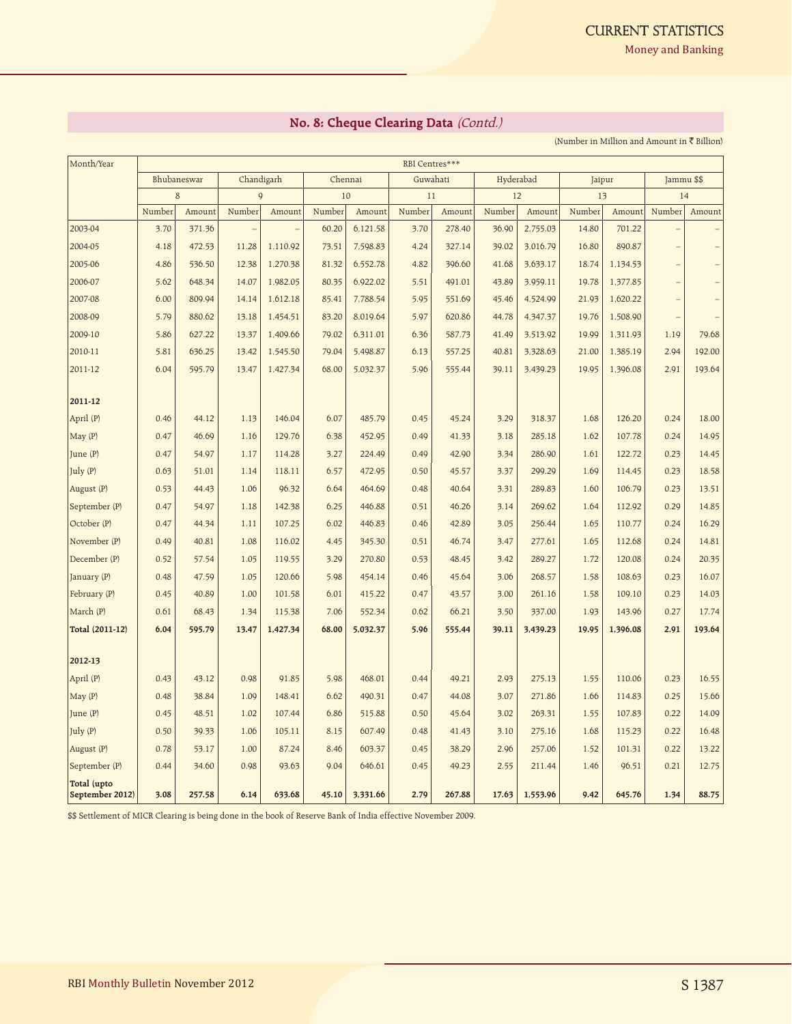**Money and Banking** 

## **No. 8: Cheque Clearing Data** (Contd.)

(Number in Million and Amount in  $\overline{\mathfrak{C}}$  Billion)

| Month/Year                     | RBI Centres*** |             |                |            |        |          |        |          |        |           |        |          |                   |            |  |
|--------------------------------|----------------|-------------|----------------|------------|--------|----------|--------|----------|--------|-----------|--------|----------|-------------------|------------|--|
|                                |                | Bhubaneswar |                | Chandigarh |        | Chennai  |        | Guwahati |        | Hyderabad |        | Jaipur   |                   | Jammu \$\$ |  |
|                                |                | 8           | $\overline{Q}$ |            | 10     |          | 11     |          | 12     |           | 13     |          | 14                |            |  |
|                                | Number         | Amount      | Number         | Amount     | Number | Amount   | Number | Amount   | Number | Amount    | Number | Amount   | Number            | Amount     |  |
| 2003-04                        | 3.70           | 371.36      |                |            | 60.20  | 6,121.58 | 3.70   | 278.40   | 36.90  | 2,755.03  | 14.80  | 701.22   |                   |            |  |
| 2004-05                        | 4.18           | 472.53      | 11.28          | 1,110.92   | 73.51  | 7,598.83 | 4.24   | 327.14   | 39.02  | 3,016.79  | 16.80  | 890.87   |                   |            |  |
| 2005-06                        | 4.86           | 536.50      | 12.38          | 1,270.38   | 81.32  | 6,552.78 | 4.82   | 396.60   | 41.68  | 3,633.17  | 18.74  | 1,134.53 |                   |            |  |
| 2006-07                        | 5.62           | 648.34      | 14.07          | 1,982.05   | 80.35  | 6,922.02 | 5.51   | 491.01   | 43.89  | 3,959.11  | 19.78  | 1,377.85 | $\qquad \qquad -$ |            |  |
| 2007-08                        | 6.00           | 809.94      | 14.14          | 1,612.18   | 85.41  | 7,788.54 | 5.95   | 551.69   | 45.46  | 4,524.99  | 21.93  | 1,620.22 |                   |            |  |
| 2008-09                        | 5.79           | 880.62      | 13.18          | 1,454.51   | 83.20  | 8,019.64 | 5.97   | 620.86   | 44.78  | 4,347.37  | 19.76  | 1,508.90 | $\qquad \qquad -$ |            |  |
| 2009-10                        | 5.86           | 627.22      | 13.37          | 1,409.66   | 79.02  | 6,311.01 | 6.36   | 587.73   | 41.49  | 3,513.92  | 19.99  | 1,311.93 | 1.19              | 79.68      |  |
| 2010-11                        | 5.81           | 636.25      | 13.42          | 1,545.50   | 79.04  | 5,498.87 | 6.13   | 557.25   | 40.81  | 3,328.63  | 21.00  | 1,385.19 | 2.94              | 192.00     |  |
| 2011-12                        | 6.04           | 595.79      | 13.47          | 1,427.34   | 68.00  | 5,032.37 | 5.96   | 555.44   | 39.11  | 3,439.23  | 19.95  | 1,396.08 | 2.91              | 193.64     |  |
| 2011-12                        |                |             |                |            |        |          |        |          |        |           |        |          |                   |            |  |
| April (P)                      | 0.46           | 44.12       | 1.13           | 146.04     | 6.07   | 485.79   | 0.45   | 45.24    | 3.29   | 318.37    | 1.68   | 126.20   | 0.24              | 18.00      |  |
| May(P)                         | 0.47           | 46.69       | 1.16           | 129.76     | 6.38   | 452.95   | 0.49   | 41.33    | 3.18   | 285.18    | 1.62   | 107.78   | 0.24              | 14.95      |  |
| June (P)                       | 0.47           | 54.97       | 1.17           | 114.28     | 3.27   | 224.49   | 0.49   | 42.90    | 3.34   | 286.90    | 1.61   | 122.72   | 0.23              | 14.45      |  |
| July (P)                       | 0.63           | 51.01       | 1.14           | 118.11     | 6.57   | 472.95   | 0.50   | 45.57    | 3.37   | 299.29    | 1.69   | 114.45   | 0.23              | 18.58      |  |
| August (P)                     | 0.53           | 44.43       | 1.06           | 96.32      | 6.64   | 464.69   | 0.48   | 40.64    | 3.31   | 289.83    | 1.60   | 106.79   | 0.23              | 13.51      |  |
| September (P)                  | 0.47           | 54.97       | 1.18           | 142.38     | 6.25   | 446.88   | 0.51   | 46.26    | 3.14   | 269.62    | 1.64   | 112.92   | 0.29              | 14.85      |  |
| October (P)                    | 0.47           | 44.34       | 1.11           | 107.25     | 6.02   | 446.83   | 0.46   | 42.89    | 3.05   | 256.44    | 1.65   | 110.77   | 0.24              | 16.29      |  |
| November (P)                   | 0.49           | 40.81       | 1.08           | 116.02     | 4.45   | 345.30   | 0.51   | 46.74    | 3.47   | 277.61    | 1.65   | 112.68   | 0.24              | 14.81      |  |
| December (P)                   | 0.52           | 57.54       | 1.05           | 119.55     | 3.29   | 270.80   | 0.53   | 48.45    | 3.42   | 289.27    | 1.72   | 120.08   | 0.24              | 20.35      |  |
| January (P)                    | 0.48           | 47.59       | 1.05           | 120.66     | 5.98   | 454.14   | 0.46   | 45.64    | 3.06   | 268.57    | 1.58   | 108.63   | 0.23              | 16.07      |  |
| February (P)                   | 0.45           | 40.89       | 1.00           | 101.58     | 6.01   | 415.22   | 0.47   | 43.57    | 3.00   | 261.16    | 1.58   | 109.10   | 0.23              | 14.03      |  |
| March (P)                      | 0.61           | 68.43       | 1.34           | 115.38     | 7.06   | 552.34   | 0.62   | 66.21    | 3.50   | 337.00    | 1.93   | 143.96   | 0.27              | 17.74      |  |
| Total (2011-12)                | 6.04           | 595.79      | 13.47          | 1,427.34   | 68.00  | 5,032.37 | 5.96   | 555.44   | 39.11  | 3,439.23  | 19.95  | 1,396.08 | 2.91              | 193.64     |  |
|                                |                |             |                |            |        |          |        |          |        |           |        |          |                   |            |  |
| 2012-13                        |                |             |                |            |        |          |        |          |        |           |        |          |                   |            |  |
| April (P)                      | 0.43           | 43.12       | 0.98           | 91.85      | 5.98   | 468.01   | 0.44   | 49.21    | 2.93   | 275.13    | 1.55   | 110.06   | 0.23              | 16.55      |  |
| May (P)                        | 0.48           | 38.84       | 1.09           | 148.41     | 6.62   | 490.31   | 0.47   | 44.08    | 3.07   | 271.86    | 1.66   | 114.83   | 0.25              | 15.66      |  |
| June (P)                       | 0.45           | 48.51       | 1.02           | 107.44     | 6.86   | 515.88   | 0.50   | 45.64    | 3.02   | 263.31    | 1.55   | 107.83   | 0.22              | 14.09      |  |
| July (P)                       | 0.50           | 39.33       | 1.06           | 105.11     | 8.15   | 607.49   | 0.48   | 41.43    | 3.10   | 275.16    | 1.68   | 115.23   | 0.22              | 16.48      |  |
| August (P)                     | 0.78           | 53.17       | 1.00           | 87.24      | 8.46   | 603.37   | 0.45   | 38.29    | 2.96   | 257.06    | 1.52   | 101.31   | 0.22              | 13.22      |  |
| September (P)                  | 0.44           | 34.60       | 0.98           | 93.63      | 9.04   | 646.61   | 0.45   | 49.23    | 2.55   | 211.44    | 1.46   | 96.51    | 0.21              | 12.75      |  |
| Total (upto<br>September 2012) | 3.08           | 257.58      | 6.14           | 633.68     | 45.10  | 3,331.66 | 2.79   | 267.88   | 17.63  | 1,553.96  | 9.42   | 645.76   | 1.34              | 88.75      |  |

\$\$ Settlement of MICR Clearing is being done in the book of Reserve Bank of India effective November 2009.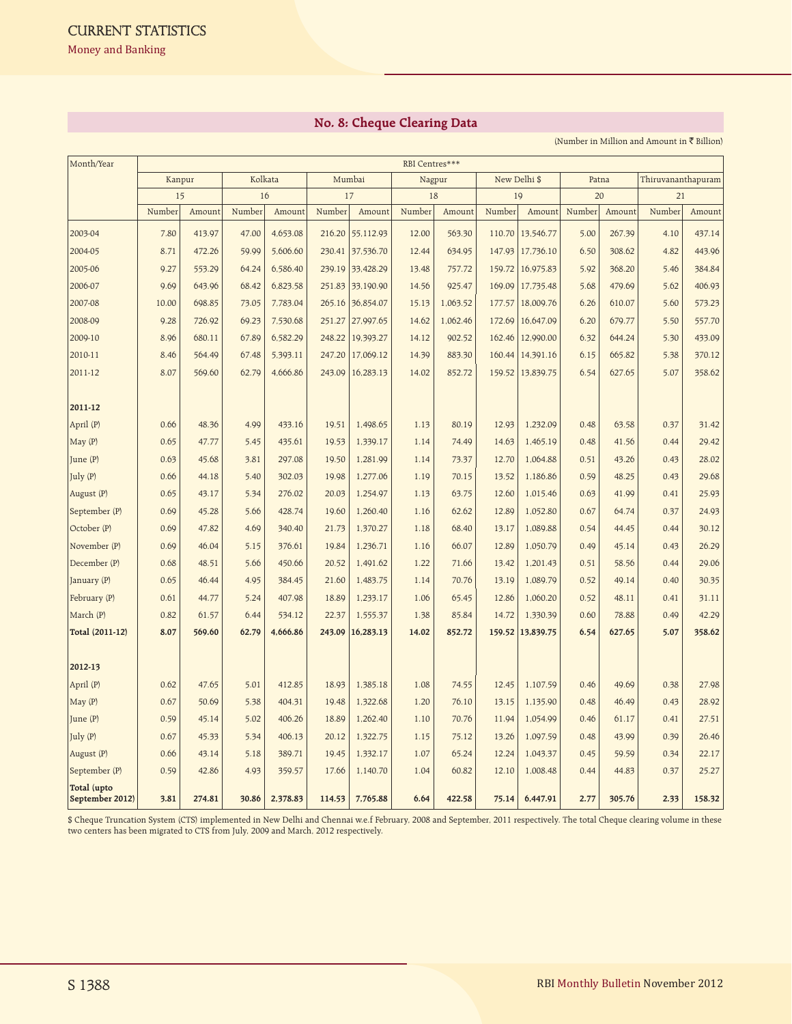## **No. 8: Cheque Clearing Data**

(Number in Million and Amount in  $\bar{\tau}$  Billion)

| Month/Year                     | RBI Centres*** |        |        |          |        |                  |        |          |        |                  |        |        |        |                    |
|--------------------------------|----------------|--------|--------|----------|--------|------------------|--------|----------|--------|------------------|--------|--------|--------|--------------------|
|                                | Kanpur         |        |        | Kolkata  |        | Mumbai           |        | Nagpur   |        | New Delhi \$     |        | Patna  |        | Thiruvananthapuram |
|                                |                | 15     | 16     |          | 17     |                  | 18     |          | 19     |                  | 20     |        | 21     |                    |
|                                | Number         | Amount | Number | Amount   | Number | Amount           | Number | Amount   | Number | Amount           | Number | Amount | Number | Amount             |
| 2003-04                        | 7.80           | 413.97 | 47.00  | 4,653.08 | 216.20 | 55,112.93        | 12.00  | 563.30   | 110.70 | 13,546.77        | 5.00   | 267.39 | 4.10   | 437.14             |
| 2004-05                        | 8.71           | 472.26 | 59.99  | 5,606.60 | 230.41 | 37,536.70        | 12.44  | 634.95   | 147.93 | 17,736.10        | 6.50   | 308.62 | 4.82   | 443.96             |
| 2005-06                        | 9.27           | 553.29 | 64.24  | 6,586.40 |        | 239.19 33,428.29 | 13.48  | 757.72   | 159.72 | 16,975.83        | 5.92   | 368.20 | 5.46   | 384.84             |
| 2006-07                        | 9.69           | 643.96 | 68.42  | 6,823.58 |        | 251.83 33,190.90 | 14.56  | 925.47   | 169.09 | 17,735.48        | 5.68   | 479.69 | 5.62   | 406.93             |
| 2007-08                        | 10.00          | 698.85 | 73.05  | 7,783.04 |        | 265.16 36,854.07 | 15.13  | 1,063.52 | 177.57 | 18,009.76        | 6.26   | 610.07 | 5.60   | 573.23             |
| 2008-09                        | 9.28           | 726.92 | 69.23  | 7,530.68 |        | 251.27 27,997.65 | 14.62  | 1,062.46 | 172.69 | 16,647.09        | 6.20   | 679.77 | 5.50   | 557.70             |
| 2009-10                        | 8.96           | 680.11 | 67.89  | 6,582.29 |        | 248.22 19,393.27 | 14.12  | 902.52   | 162.46 | 12,990.00        | 6.32   | 644.24 | 5.30   | 433.09             |
| 2010-11                        | 8.46           | 564.49 | 67.48  | 5,393.11 | 247.20 | 17,069.12        | 14.39  | 883.30   | 160.44 | 14,391.16        | 6.15   | 665.82 | 5.38   | 370.12             |
| 2011-12                        | 8.07           | 569.60 | 62.79  | 4,666.86 | 243.09 | 16,283.13        | 14.02  | 852.72   | 159.52 | 13,839.75        | 6.54   | 627.65 | 5.07   | 358.62             |
|                                |                |        |        |          |        |                  |        |          |        |                  |        |        |        |                    |
| 2011-12                        |                |        |        |          |        |                  |        |          |        |                  |        |        |        |                    |
| April (P)                      | 0.66           | 48.36  | 4.99   | 433.16   | 19.51  | 1,498.65         | 1.13   | 80.19    | 12.93  | 1,232.09         | 0.48   | 63.58  | 0.37   | 31.42              |
| May(P)                         | 0.65           | 47.77  | 5.45   | 435.61   | 19.53  | 1,339.17         | 1.14   | 74.49    | 14.63  | 1,465.19         | 0.48   | 41.56  | 0.44   | 29.42              |
| June $(P)$                     | 0.63           | 45.68  | 3.81   | 297.08   | 19.50  | 1,281.99         | 1.14   | 73.37    | 12.70  | 1,064.88         | 0.51   | 43.26  | 0.43   | 28.02              |
| July (P)                       | 0.66           | 44.18  | 5.40   | 302.03   | 19.98  | 1,277.06         | 1.19   | 70.15    | 13.52  | 1,186.86         | 0.59   | 48.25  | 0.43   | 29.68              |
| August (P)                     | 0.65           | 43.17  | 5.34   | 276.02   | 20.03  | 1,254.97         | 1.13   | 63.75    | 12.60  | 1,015.46         | 0.63   | 41.99  | 0.41   | 25.93              |
| September (P)                  | 0.69           | 45.28  | 5.66   | 428.74   | 19.60  | 1,260.40         | 1.16   | 62.62    | 12.89  | 1,052.80         | 0.67   | 64.74  | 0.37   | 24.93              |
| October (P)                    | 0.69           | 47.82  | 4.69   | 340.40   | 21.73  | 1,370.27         | 1.18   | 68.40    | 13.17  | 1,089.88         | 0.54   | 44.45  | 0.44   | 30.12              |
| November (P)                   | 0.69           | 46.04  | 5.15   | 376.61   | 19.84  | 1,236.71         | 1.16   | 66.07    | 12.89  | 1,050.79         | 0.49   | 45.14  | 0.43   | 26.29              |
| December (P)                   | 0.68           | 48.51  | 5.66   | 450.66   | 20.52  | 1,491.62         | 1.22   | 71.66    | 13.42  | 1,201.43         | 0.51   | 58.56  | 0.44   | 29.06              |
| January (P)                    | 0.65           | 46.44  | 4.95   | 384.45   | 21.60  | 1,483.75         | 1.14   | 70.76    | 13.19  | 1,089.79         | 0.52   | 49.14  | 0.40   | 30.35              |
| February (P)                   | 0.61           | 44.77  | 5.24   | 407.98   | 18.89  | 1,233.17         | 1.06   | 65.45    | 12.86  | 1,060.20         | 0.52   | 48.11  | 0.41   | 31.11              |
| March (P)                      | 0.82           | 61.57  | 6.44   | 534.12   | 22.37  | 1,555.37         | 1.38   | 85.84    | 14.72  | 1,330.39         | 0.60   | 78.88  | 0.49   | 42.29              |
| Total (2011-12)                | 8.07           | 569.60 | 62.79  | 4,666.86 | 243.09 | 16,283.13        | 14.02  | 852.72   |        | 159.52 13,839.75 | 6.54   | 627.65 | 5.07   | 358.62             |
| 2012-13                        |                |        |        |          |        |                  |        |          |        |                  |        |        |        |                    |
| April (P)                      | 0.62           | 47.65  | 5.01   | 412.85   | 18.93  | 1,385.18         | 1.08   | 74.55    | 12.45  | 1,107.59         | 0.46   | 49.69  | 0.38   | 27.98              |
| May(P)                         | 0.67           | 50.69  | 5.38   | 404.31   | 19.48  | 1,322.68         | 1.20   | 76.10    | 13.15  | 1,135.90         | 0.48   | 46.49  | 0.43   | 28.92              |
| June $(P)$                     | 0.59           | 45.14  | 5.02   | 406.26   | 18.89  | 1,262.40         | 1.10   | 70.76    | 11.94  | 1,054.99         | 0.46   | 61.17  | 0.41   | 27.51              |
| July $(P)$                     | 0.67           | 45.33  | 5.34   | 406.13   | 20.12  | 1,322.75         | 1.15   | 75.12    | 13.26  | 1,097.59         | 0.48   | 43.99  | 0.39   | 26.46              |
| August (P)                     | 0.66           | 43.14  | 5.18   | 389.71   | 19.45  | 1,332.17         | 1.07   | 65.24    | 12.24  | 1,043.37         | 0.45   | 59.59  | 0.34   | 22.17              |
| September (P)                  | 0.59           | 42.86  | 4.93   | 359.57   | 17.66  | 1,140.70         | 1.04   | 60.82    | 12.10  | 1,008.48         | 0.44   | 44.83  | 0.37   | 25.27              |
| Total (upto<br>September 2012) | 3.81           | 274.81 | 30.86  | 2,378.83 | 114.53 | 7,765.88         | 6.64   | 422.58   | 75.14  | 6,447.91         | 2.77   | 305.76 | 2.33   | 158.32             |

\$ Cheque Truncation System (CTS) implemented in New Delhi and Chennai w.e.f February, 2008 and September, 2011 respectively. The total Cheque clearing volume in these two centers has been migrated to CTS from July, 2009 and March, 2012 respectively.